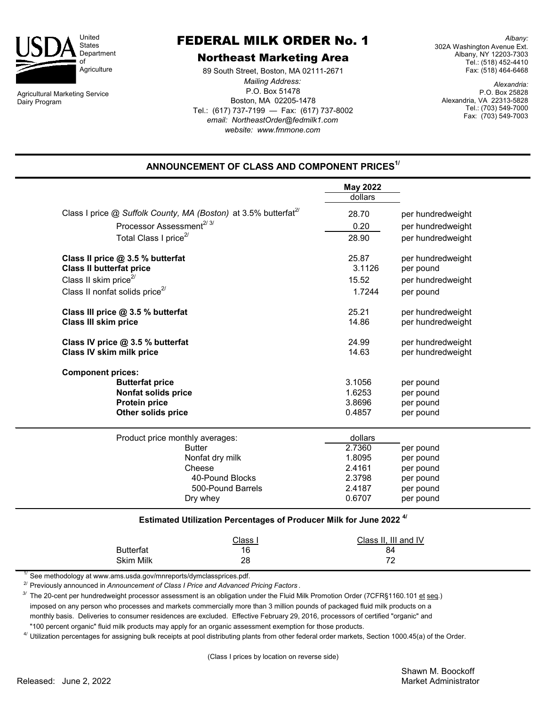

Agricultural Marketing Service Dairy Program

## FEDERAL MILK ORDER No. 1

## Northeast Marketing Area

*website: www.fmmone.com* P.O. Box 51478 Boston, MA 02205-1478 Tel.: (617) 737-7199 — Fax: (617) 737-8002 *email: NortheastOrder@fedmilk1.com* 89 South Street, Boston, MA 02111-2671 *Mailing Address:*

*Albany:* 302A Washington Avenue Ext. Albany, NY 12203-7303 Tel.: (518) 452-4410 Fax: (518) 464-6468

*Alexandria:* P.O. Box 25828 Alexandria, VA 22313-5828 Tel.: (703) 549-7000 Fax: (703) 549-7003

## **ANNOUNCEMENT OF CLASS AND COMPONENT PRICES1/**

|                                                                             | <b>May 2022</b>           |                                                             |  |
|-----------------------------------------------------------------------------|---------------------------|-------------------------------------------------------------|--|
|                                                                             | dollars                   |                                                             |  |
| Class I price @ Suffolk County, MA (Boston) at 3.5% butterfat <sup>27</sup> | 28.70                     | per hundredweight                                           |  |
| Processor Assessment <sup>2/3/</sup>                                        | 0.20                      | per hundredweight<br>per hundredweight<br>per hundredweight |  |
| Total Class I price <sup>2/</sup>                                           | 28.90                     |                                                             |  |
| Class II price @ 3.5 % butterfat                                            | 25.87                     |                                                             |  |
| <b>Class II butterfat price</b>                                             | 3.1126                    | per pound                                                   |  |
| Class II skim price <sup>2/</sup>                                           | 15.52                     | per hundredweight                                           |  |
| Class II nonfat solids price $^{27}$                                        | 1.7244                    | per pound                                                   |  |
| Class III price @ 3.5 % butterfat                                           | 25.21                     | per hundredweight                                           |  |
| <b>Class III skim price</b>                                                 | 14.86                     | per hundredweight                                           |  |
| Class IV price @ 3.5 % butterfat                                            | 24.99                     | per hundredweight                                           |  |
| <b>Class IV skim milk price</b>                                             | 14.63<br>3.1056<br>1.6253 | per hundredweight<br>per pound<br>per pound                 |  |
| <b>Component prices:</b>                                                    |                           |                                                             |  |
| <b>Butterfat price</b>                                                      |                           |                                                             |  |
| <b>Nonfat solids price</b>                                                  |                           |                                                             |  |
| <b>Protein price</b>                                                        | 3.8696                    | per pound                                                   |  |
| <b>Other solids price</b>                                                   | 0.4857                    | per pound                                                   |  |
| Product price monthly averages:                                             | dollars                   |                                                             |  |
| <b>Butter</b>                                                               | 2.7360                    | per pound                                                   |  |
| Nonfat dry milk                                                             | 1.8095                    | per pound                                                   |  |
| Cheese                                                                      | 2.4161                    | per pound                                                   |  |
| 40-Pound Blocks                                                             | 2.3798                    | per pound                                                   |  |
| 500-Pound Barrels                                                           | 2.4187                    | per pound                                                   |  |
| Dry whey                                                                    | 0.6707                    | per pound                                                   |  |

|                  | <u>Class</u> | Class II, III and IV |  |
|------------------|--------------|----------------------|--|
| <b>Butterfat</b> | 16           | 84                   |  |
| <b>Skim Milk</b> | 28           | 70                   |  |

 $1/$  See methodology at www.ams.usda.gov/mnreports/dymclassprices.pdf.

2/ Previously announced in *Announcement of Class I Price and Advanced Pricing Factors* .

<sup>3/</sup> The 20-cent per hundredweight processor assessment is an obligation under the Fluid Milk Promotion Order (7CFR§1160.101 et seq.) imposed on any person who processes and markets commercially more than 3 million pounds of packaged fluid milk products on a monthly basis. Deliveries to consumer residences are excluded. Effective February 29, 2016, processors of certified "organic" and "100 percent organic" fluid milk products may apply for an organic assessment exemption for those products.

<sup>4/</sup> Utilization percentages for assigning bulk receipts at pool distributing plants from other federal order markets, Section 1000.45(a) of the Order.

(Class I prices by location on reverse side)